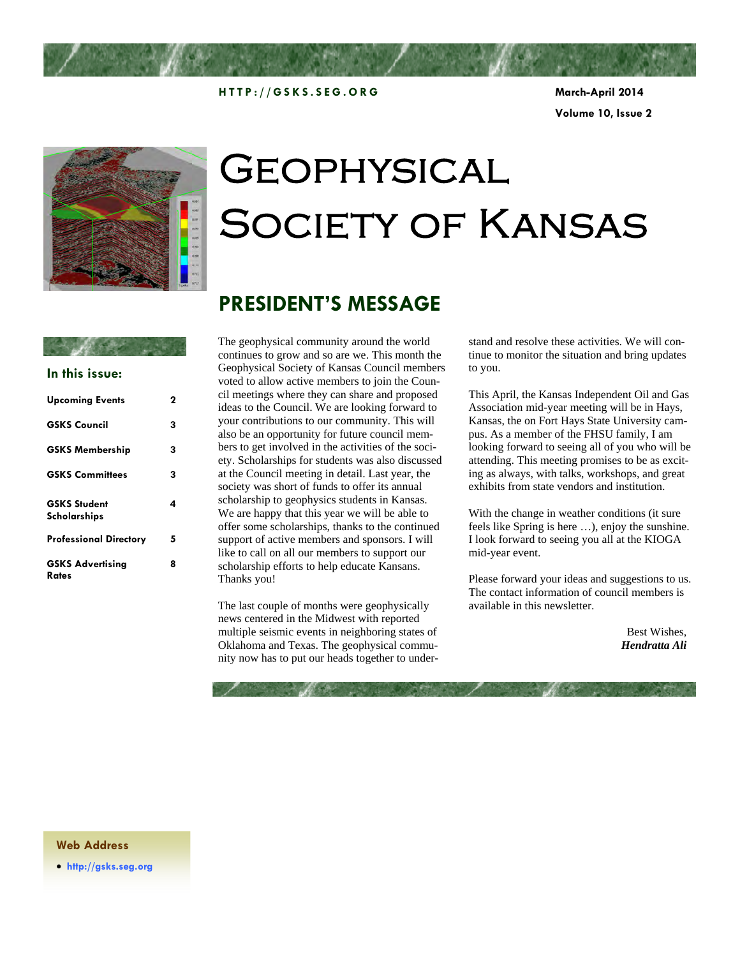

**HTTP://GSKS.SEG.ORG March-April 2014** 

**Volume 10, Issue 2** 



# **GEOPHYSICAL** Society of Kansas

### **PRESIDENT'S MESSAGE**

#### **In this issue:**

| <b>Upcoming Events</b>              | 2 |
|-------------------------------------|---|
| <b>GSKS Council</b>                 | 3 |
| <b>GSKS Membership</b>              | 3 |
| <b>GSKS Committees</b>              | 3 |
| <b>GSKS Student</b><br>Scholarships | 4 |
| Professional Directory              | 5 |
| <b>GSKS Advertising</b><br>Rates    | 8 |

The geophysical community around the world continues to grow and so are we. This month the Geophysical Society of Kansas Council members voted to allow active members to join the Council meetings where they can share and proposed ideas to the Council. We are looking forward to your contributions to our community. This will also be an opportunity for future council members to get involved in the activities of the society. Scholarships for students was also discussed at the Council meeting in detail. Last year, the society was short of funds to offer its annual scholarship to geophysics students in Kansas. We are happy that this year we will be able to offer some scholarships, thanks to the continued support of active members and sponsors. I will like to call on all our members to support our scholarship efforts to help educate Kansans. Thanks you!

The last couple of months were geophysically news centered in the Midwest with reported multiple seismic events in neighboring states of Oklahoma and Texas. The geophysical community now has to put our heads together to understand and resolve these activities. We will continue to monitor the situation and bring updates to you.

This April, the Kansas Independent Oil and Gas Association mid-year meeting will be in Hays, Kansas, the on Fort Hays State University campus. As a member of the FHSU family, I am looking forward to seeing all of you who will be attending. This meeting promises to be as exciting as always, with talks, workshops, and great exhibits from state vendors and institution.

With the change in weather conditions (it sure feels like Spring is here …), enjoy the sunshine. I look forward to seeing you all at the KIOGA mid-year event.

Please forward your ideas and suggestions to us. The contact information of council members is available in this newsletter.

> Best Wishes, *Hendratta Ali*

#### **Web Address**

**http://gsks.seg.org**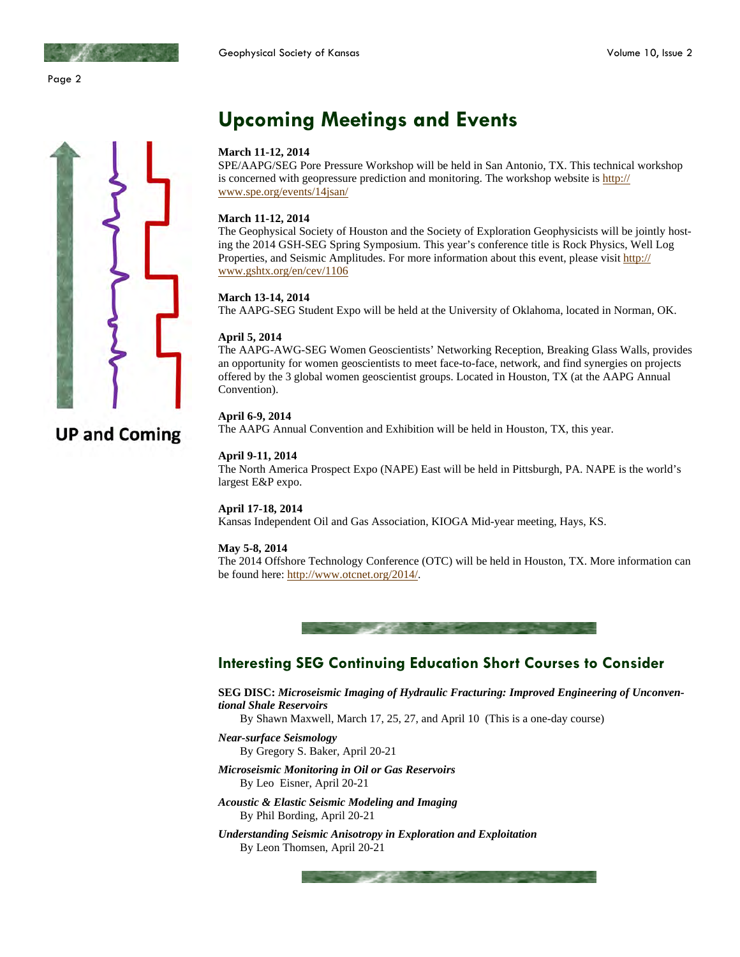Page 2



### **Upcoming Meetings and Events**

#### **March 11-12, 2014**

SPE/AAPG/SEG Pore Pressure Workshop will be held in San Antonio, TX. This technical workshop is concerned with geopressure prediction and monitoring. The workshop website is http:// www.spe.org/events/14jsan/

#### **March 11-12, 2014**

The Geophysical Society of Houston and the Society of Exploration Geophysicists will be jointly hosting the 2014 GSH-SEG Spring Symposium. This year's conference title is Rock Physics, Well Log Properties, and Seismic Amplitudes. For more information about this event, please visit http:// www.gshtx.org/en/cev/1106

#### **March 13-14, 2014**

The AAPG-SEG Student Expo will be held at the University of Oklahoma, located in Norman, OK.

#### **April 5, 2014**

The AAPG-AWG-SEG Women Geoscientists' Networking Reception, Breaking Glass Walls, provides an opportunity for women geoscientists to meet face-to-face, network, and find synergies on projects offered by the 3 global women geoscientist groups. Located in Houston, TX (at the AAPG Annual Convention).

#### **April 6-9, 2014**

The AAPG Annual Convention and Exhibition will be held in Houston, TX, this year.

#### **April 9-11, 2014**

The North America Prospect Expo (NAPE) East will be held in Pittsburgh, PA. NAPE is the world's largest E&P expo.

#### **April 17-18, 2014**

Kansas Independent Oil and Gas Association, KIOGA Mid-year meeting, Hays, KS.

#### **May 5-8, 2014**

The 2014 Offshore Technology Conference (OTC) will be held in Houston, TX. More information can be found here: http://www.otcnet.org/2014/.



#### **Interesting SEG Continuing Education Short Courses to Consider**

**SEG DISC:** *Microseismic Imaging of Hydraulic Fracturing: Improved Engineering of Unconventional Shale Reservoirs*

By Shawn Maxwell, March 17, 25, 27, and April 10 (This is a one-day course)

- *Near-surface Seismology*
- By Gregory S. Baker, April 20-21
- *Microseismic Monitoring in Oil or Gas Reservoirs*  By Leo Eisner, April 20-21
- *Acoustic & Elastic Seismic Modeling and Imaging*  By Phil Bording, April 20-21
- *Understanding Seismic Anisotropy in Exploration and Exploitation*  By Leon Thomsen, April 20-21

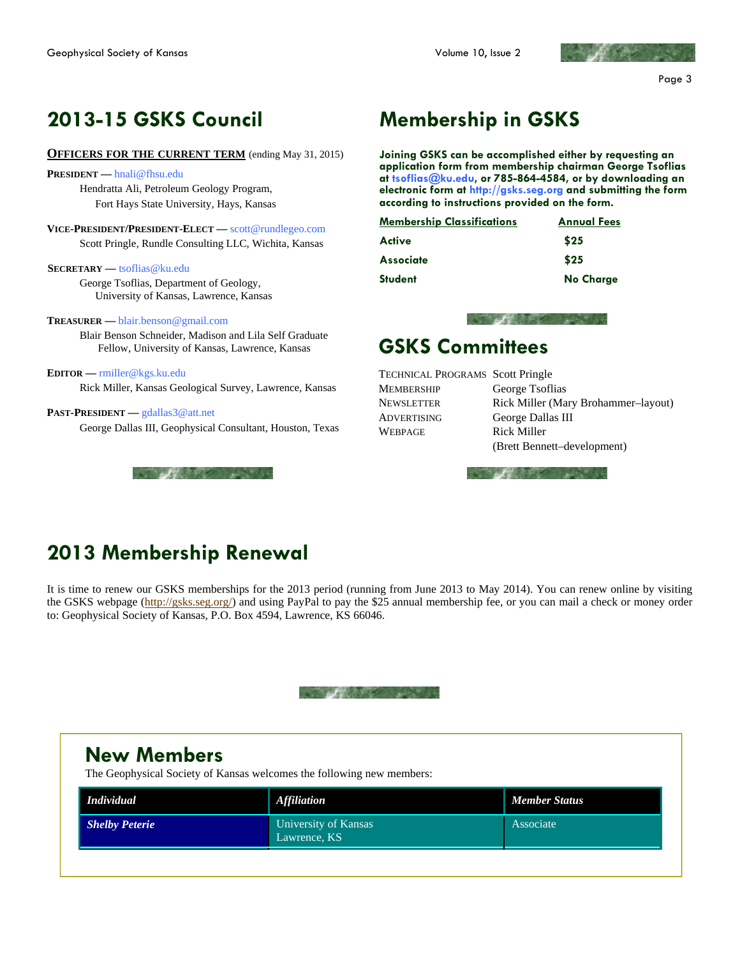

### **2013-15 GSKS Council**

#### **OFFICERS FOR THE CURRENT TERM** (ending May 31, 2015)

**PRESIDENT —** hnali@fhsu.edu Hendratta Ali, Petroleum Geology Program, Fort Hays State University, Hays, Kansas

**VICE-PRESIDENT/PRESIDENT-ELECT —** scott@rundlegeo.com Scott Pringle, Rundle Consulting LLC, Wichita, Kansas

**SECRETARY —** tsoflias@ku.edu

 George Tsoflias, Department of Geology, University of Kansas, Lawrence, Kansas

#### **TREASURER —** blair.benson@gmail.com

 Blair Benson Schneider, Madison and Lila Self Graduate Fellow, University of Kansas, Lawrence, Kansas

**EDITOR —** rmiller@kgs.ku.edu Rick Miller, Kansas Geological Survey, Lawrence, Kansas

#### **PAST-PRESIDENT —** gdallas3@att.net

George Dallas III, Geophysical Consultant, Houston, Texas



### **Membership in GSKS**

**Joining GSKS can be accomplished either by requesting an application form from membership chairman George Tsoflias at tsoflias@ku.edu, or 785-864-4584, or by downloading an electronic form at http://gsks.seg.org and submitting the form according to instructions provided on the form.** 

| <b>Membership Classifications</b> | <b>Annual Fees</b> |
|-----------------------------------|--------------------|
| Active                            | \$25               |
| <b>Associate</b>                  | \$25               |
| <b>Student</b>                    | <b>No Charge</b>   |



### **GSKS Committees**

TECHNICAL PROGRAMS Scott Pringle MEMBERSHIP George Tsoflias ADVERTISING George Dallas III WEBPAGE Rick Miller

NEWSLETTER Rick Miller (Mary Brohammer–layout) (Brett Bennett–development)



### **2013 Membership Renewal**

It is time to renew our GSKS memberships for the 2013 period (running from June 2013 to May 2014). You can renew online by visiting the GSKS webpage (http://gsks.seg.org/) and using PayPal to pay the \$25 annual membership fee, or you can mail a check or money order to: Geophysical Society of Kansas, P.O. Box 4594, Lawrence, KS 66046.

| <b>New Members</b><br>The Geophysical Society of Kansas welcomes the following new members: |                                      |                      |  |  |  |
|---------------------------------------------------------------------------------------------|--------------------------------------|----------------------|--|--|--|
| <b>Individual</b>                                                                           | <b>Affiliation</b>                   | <b>Member Status</b> |  |  |  |
| <b>Shelby Peterie</b>                                                                       | University of Kansas<br>Lawrence, KS | Associate            |  |  |  |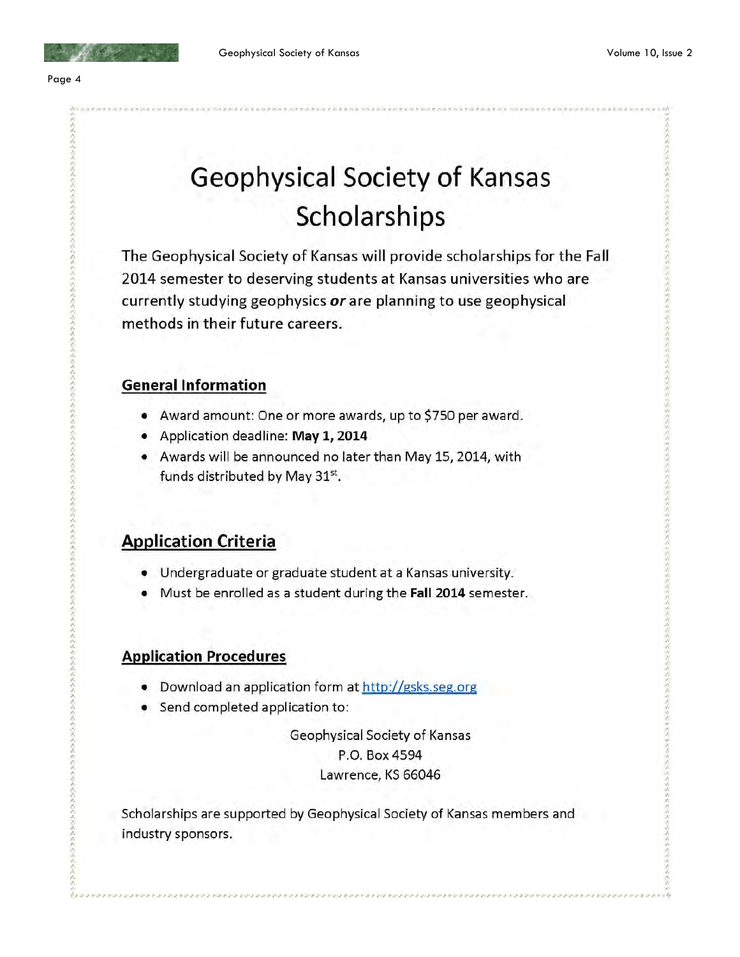

## Geophysical Society of Kansas Scholarships

The Geophysical Society of Kansas will provide scholarships for the Fall 2014 semester to deserving students at Kansas universities who are currently studying geophysics or are planning to use geophysical methods in their future careers.

#### **General Information**

- Award amount: One or more awards, up to \$750 per award.
- Application deadline: May 1, 2014
- Awards will be announced no later than May 15, 2014, with funds distributed by May 31st.

### **Application Criteria**

- Undergraduate or graduate student at a Kansas university.
- Must be enrolled as a student during the Fall 2014 semester.

### **Application Procedures**

- Download an application form at http://gsks.seg.org
- Send completed application to:

Geophysical Society of Kansas P.O. Box 4594 Lawrence, KS 66046

Scholarships are supported by Geophysical Society of Kansas members and industry sponsors.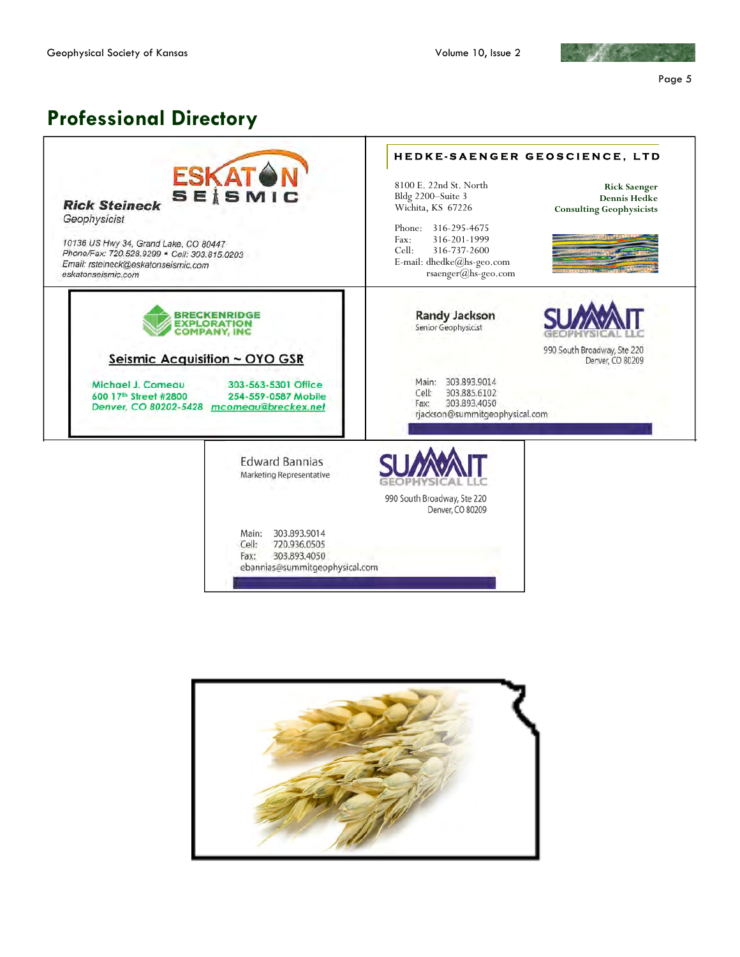

Page 5

### **Professional Directory Professional Directory**

| <b>ESKAT</b><br><b>SEISMIC</b><br><b>Rick Steineck</b><br>Geophysicist<br>10136 US Hwy 34, Grand Lake, CO 80447<br>Phone/Fax: 720.528.9299 · Cell: 303.815.0203<br>Email: rsteineck@eskatonseismic.com<br>eskatonseismic.com | HEDKE-SAENGER GEOSCIENCE, LTD<br>8100 E. 22nd St. North<br><b>Rick Saenger</b><br>Bldg 2200-Suite 3<br><b>Dennis Hedke</b><br>Wichita, KS 67226<br><b>Consulting Geophysicists</b><br>Phone:<br>316-295-4675<br>316-201-1999<br>Fax:<br>Cell:<br>316-737-2600<br>E-mail: dhedke@hs-geo.com<br>rsaenger@hs-geo.com |
|------------------------------------------------------------------------------------------------------------------------------------------------------------------------------------------------------------------------------|-------------------------------------------------------------------------------------------------------------------------------------------------------------------------------------------------------------------------------------------------------------------------------------------------------------------|
| <b>BRECKENRIDGE</b><br><b>EXPLORATION</b><br>COMPANY, INC<br>Seismic Acquisition ~ OYO GSR                                                                                                                                   | <b>Randy Jackson</b><br>Senior Geophysicist<br>990 South Broadway, Ste 220<br>Denver, CO 80209                                                                                                                                                                                                                    |
| Michael J. Comeau<br>303-563-5301 Office<br>600 17th Street #2800<br>254-559-0587 Mobile<br>Denver, CO 80202-5428<br>mcomeau@breckex.net                                                                                     | Main: 303.893.9014<br>303.885.6102<br>Cell:<br>303.893.4050<br>Fax:<br>rjackson@summitgeophysical.com                                                                                                                                                                                                             |
| <b>Edward Bannias</b><br>Marketing Representative                                                                                                                                                                            | 990 South Broadway, Ste 220<br>Denver, CO 80209                                                                                                                                                                                                                                                                   |
| 303.893.9014<br>Main:<br>Cell:<br>720.936.0505<br>303,893,4050<br>Fax:<br>ebannias@summitgeophysical.com                                                                                                                     |                                                                                                                                                                                                                                                                                                                   |

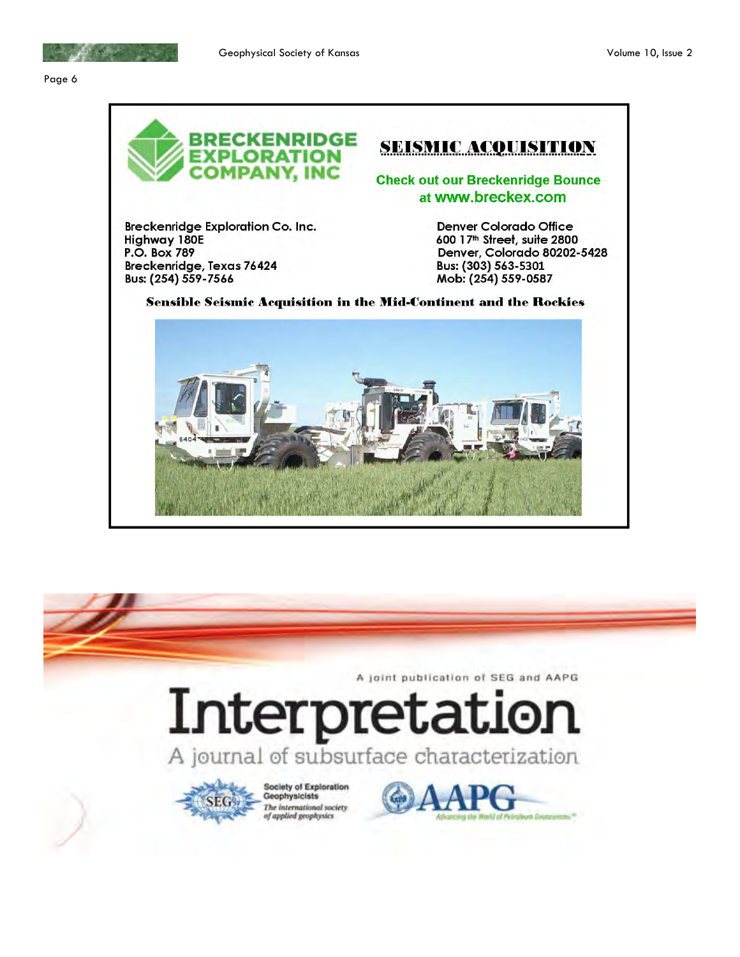



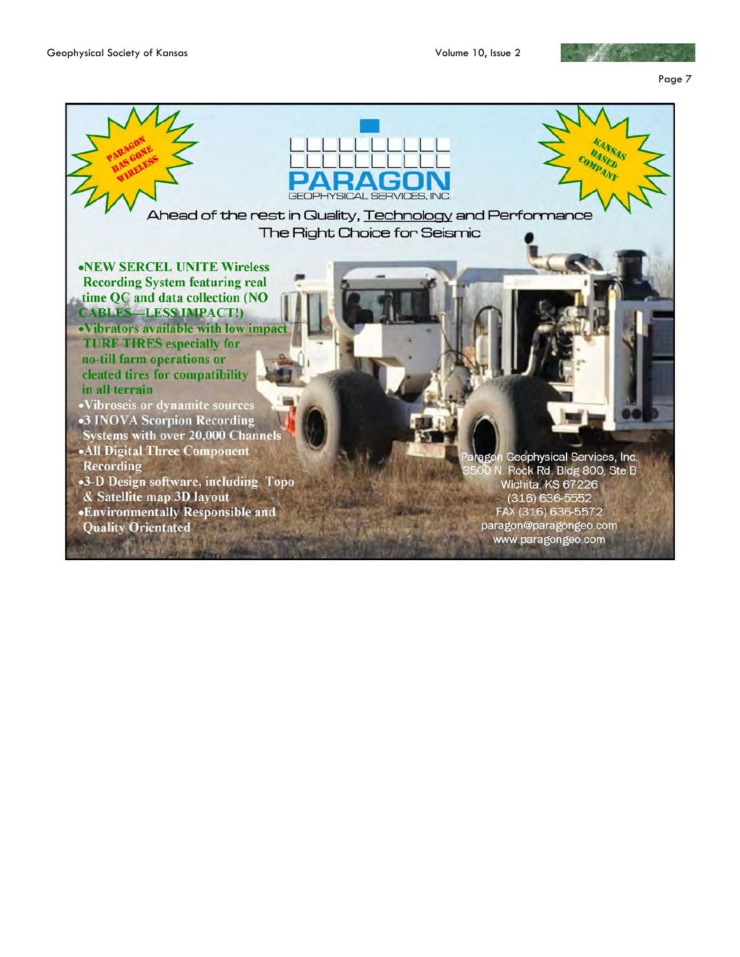

Page 7